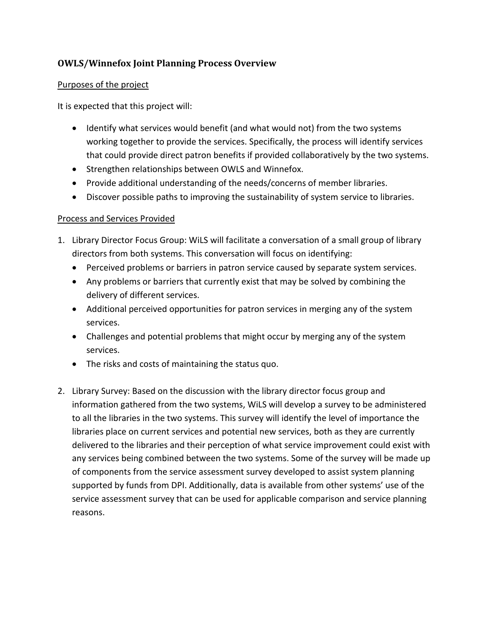## **OWLS/Winnefox Joint Planning Process Overview**

## Purposes of the project

It is expected that this project will:

- Identify what services would benefit (and what would not) from the two systems working together to provide the services. Specifically, the process will identify services that could provide direct patron benefits if provided collaboratively by the two systems.
- Strengthen relationships between OWLS and Winnefox.
- Provide additional understanding of the needs/concerns of member libraries.
- Discover possible paths to improving the sustainability of system service to libraries.

## Process and Services Provided

- 1. Library Director Focus Group: WiLS will facilitate a conversation of a small group of library directors from both systems. This conversation will focus on identifying:
	- Perceived problems or barriers in patron service caused by separate system services.
	- Any problems or barriers that currently exist that may be solved by combining the delivery of different services.
	- Additional perceived opportunities for patron services in merging any of the system services.
	- Challenges and potential problems that might occur by merging any of the system services.
	- The risks and costs of maintaining the status quo.
- 2. Library Survey: Based on the discussion with the library director focus group and information gathered from the two systems, WiLS will develop a survey to be administered to all the libraries in the two systems. This survey will identify the level of importance the libraries place on current services and potential new services, both as they are currently delivered to the libraries and their perception of what service improvement could exist with any services being combined between the two systems. Some of the survey will be made up of components from the service assessment survey developed to assist system planning supported by funds from DPI. Additionally, data is available from other systems' use of the service assessment survey that can be used for applicable comparison and service planning reasons.